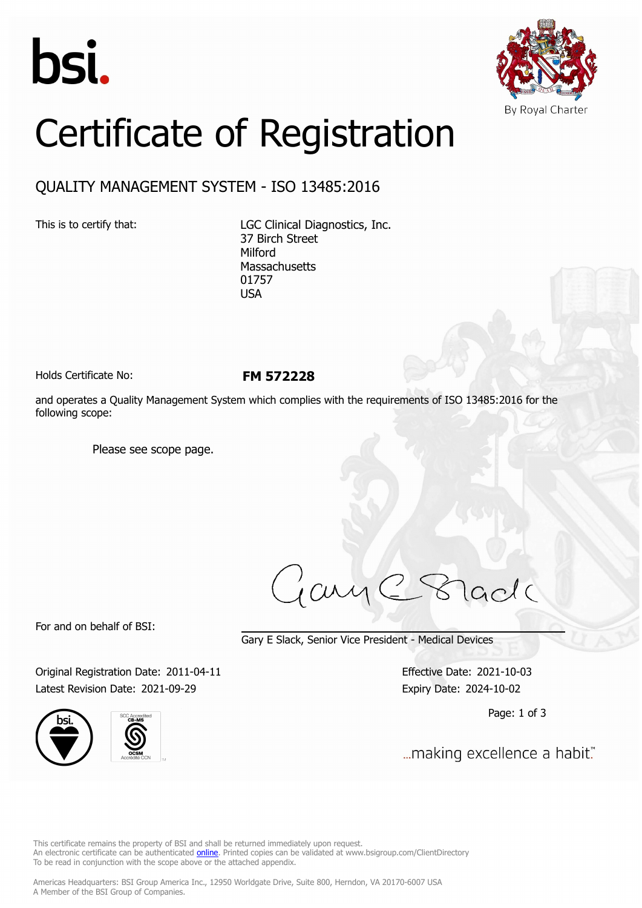



## Certificate of Registration

## QUALITY MANAGEMENT SYSTEM - ISO 13485:2016

This is to certify that: LGC Clinical Diagnostics, Inc. 37 Birch Street Milford **Massachusetts** 01757 USA

Holds Certificate No: **FM 572228**

and operates a Quality Management System which complies with the requirements of ISO 13485:2016 for the following scope:

Please see scope page.

jay C Stade

For and on behalf of BSI:

Gary E Slack, Senior Vice President - Medical Devices

Original Registration Date: 2011-04-11 Effective Date: 2021-10-03 Latest Revision Date: 2021-09-29 Expiry Date: 2024-10-02





Page: 1 of 3

... making excellence a habit."

This certificate remains the property of BSI and shall be returned immediately upon request. An electronic certificate can be authenticated *[online](https://pgplus.bsigroup.com/CertificateValidation/CertificateValidator.aspx?CertificateNumber=FM+572228&ReIssueDate=29%2f09%2f2021&Template=inc)*. Printed copies can be validated at www.bsigroup.com/ClientDirectory To be read in conjunction with the scope above or the attached appendix.

Americas Headquarters: BSI Group America Inc., 12950 Worldgate Drive, Suite 800, Herndon, VA 20170-6007 USA A Member of the BSI Group of Companies.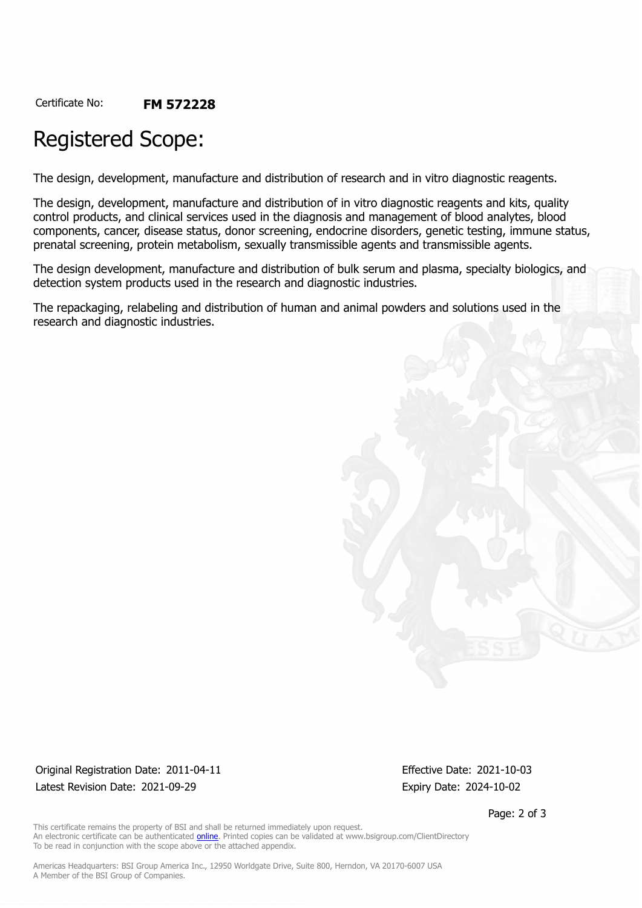Certificate No: **FM 572228**

## Registered Scope:

The design, development, manufacture and distribution of research and in vitro diagnostic reagents.

The design, development, manufacture and distribution of in vitro diagnostic reagents and kits, quality control products, and clinical services used in the diagnosis and management of blood analytes, blood components, cancer, disease status, donor screening, endocrine disorders, genetic testing, immune status, prenatal screening, protein metabolism, sexually transmissible agents and transmissible agents.

The design development, manufacture and distribution of bulk serum and plasma, specialty biologics, and detection system products used in the research and diagnostic industries.

The repackaging, relabeling and distribution of human and animal powders and solutions used in the research and diagnostic industries.

Original Registration Date: 2011-04-11 Effective Date: 2021-10-03 Latest Revision Date: 2021-09-29 **Expiry Date: 2024-10-02** Expiry Date: 2024-10-02

Page: 2 of 3

This certificate remains the property of BSI and shall be returned immediately upon request. An electronic certificate can be authenticated **[online](https://pgplus.bsigroup.com/CertificateValidation/CertificateValidator.aspx?CertificateNumber=FM+572228&ReIssueDate=29%2f09%2f2021&Template=inc)**. Printed copies can be validated at www.bsigroup.com/ClientDirectory To be read in conjunction with the scope above or the attached appendix.

Americas Headquarters: BSI Group America Inc., 12950 Worldgate Drive, Suite 800, Herndon, VA 20170-6007 USA A Member of the BSI Group of Companies.